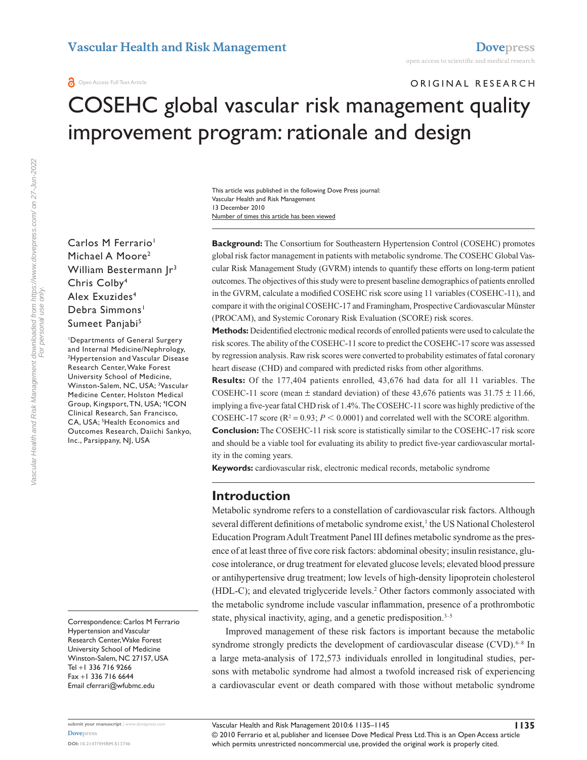## ORIGINAL RESEARCH

# COSEHC global vascular risk management quality improvement program: rationale and design

This article was published in the following Dove Press journal: Vascular Health and Risk Management 13 December 2010 Number of times this article has been viewed

Carlos M Ferrario<sup>1</sup> Michael A Moore<sup>2</sup> William Bestermann | r<sup>3</sup> Chris Colby4 Alex Exuzides<sup>4</sup> Debra Simmons<sup>1</sup> Sumeet Panjabi<sup>5</sup>

1 Departments of General Surgery and Internal Medicine/Nephrology, Hypertension and Vascular Disease Research Center, Wake Forest University School of Medicine, Winston-Salem, NC, USA; 3 Vascular Medicine Center, Holston Medical Group, Kingsport, TN, USA; <sup>4</sup>ICON Clinical Research, San Francisco, CA, USA; <sup>5</sup>Health Economics and Outcomes Research, Daiichi Sankyo, Inc., Parsippany, NJ, USA

Correspondence: Carlos M Ferrario Hypertension and Vascular Research Center, Wake Forest University School of Medicine Winston-Salem, NC 27157, USA Tel +1 336 716 9266 Fax +1 336 716 6644 Email [cferrari@wfubmc.edu](mailto:cferrari@wfubmc.edu)

**Background:** The Consortium for Southeastern Hypertension Control (COSEHC) promotes global risk factor management in patients with metabolic syndrome. The COSEHC Global Vascular Risk Management Study (GVRM) intends to quantify these efforts on long-term patient outcomes. The objectives of this study were to present baseline demographics of patients enrolled in the GVRM, calculate a modified COSEHC risk score using 11 variables (COSEHC-11), and compare it with the original COSEHC-17 and Framingham, Prospective Cardiovascular Münster (PROCAM), and Systemic Coronary Risk Evaluation (SCORE) risk scores.

**Methods:** Deidentified electronic medical records of enrolled patients were used to calculate the risk scores. The ability of the COSEHC-11 score to predict the COSEHC-17 score was assessed by regression analysis. Raw risk scores were converted to probability estimates of fatal coronary heart disease (CHD) and compared with predicted risks from other algorithms.

**Results:** Of the 177,404 patients enrolled, 43,676 had data for all 11 variables. The COSEHC-11 score (mean  $\pm$  standard deviation) of these 43,676 patients was 31.75  $\pm$  11.66, implying a five-year fatal CHD risk of 1.4%. The COSEHC-11 score was highly predictive of the COSEHC-17 score ( $R^2 = 0.93$ ;  $P < 0.0001$ ) and correlated well with the SCORE algorithm.

**Conclusion:** The COSEHC-11 risk score is statistically similar to the COSEHC-17 risk score and should be a viable tool for evaluating its ability to predict five-year cardiovascular mortality in the coming years.

**Keywords:** cardiovascular risk, electronic medical records, metabolic syndrome

#### **Introduction**

Metabolic syndrome refers to a constellation of cardiovascular risk factors. Although several different definitions of metabolic syndrome exist,<sup>1</sup> the US National Cholesterol Education Program Adult Treatment Panel III defines metabolic syndrome as the presence of at least three of five core risk factors: abdominal obesity; insulin resistance, glucose intolerance, or drug treatment for elevated glucose levels; elevated blood pressure or antihypertensive drug treatment; low levels of high-density lipoprotein cholesterol (HDL-C); and elevated triglyceride levels.2 Other factors commonly associated with the metabolic syndrome include vascular inflammation, presence of a prothrombotic state, physical inactivity, aging, and a genetic predisposition.<sup>3-5</sup>

Improved management of these risk factors is important because the metabolic syndrome strongly predicts the development of cardiovascular disease (CVD).<sup>6-8</sup> In a large meta-analysis of 172,573 individuals enrolled in longitudinal studies, persons with metabolic syndrome had almost a twofold increased risk of experiencing a cardiovascular event or death compared with those without metabolic syndrome

**submit your manuscript** | <www.dovepress.com> **[Dovepress](www.dovepress.com) DOI: 10.2147/VHRM.S13746**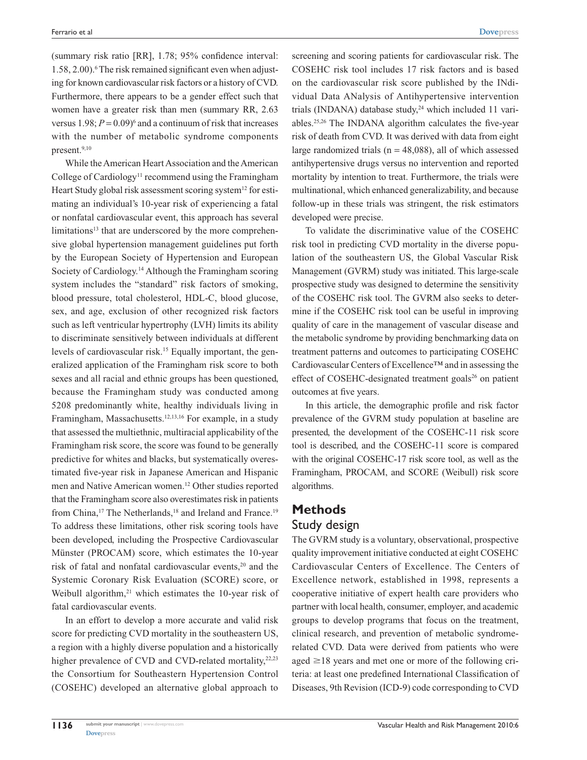(summary risk ratio [RR], 1.78; 95% confidence interval: 1.58, 2.00). The risk remained significant even when adjusting for known cardiovascular risk factors or a history of CVD. Furthermore, there appears to be a gender effect such that women have a greater risk than men (summary RR, 2.63 versus  $1.98$ ;  $P = 0.09$ <sup>6</sup> and a continuum of risk that increases with the number of metabolic syndrome components present.9,10

While the American Heart Association and the American College of Cardiology<sup>11</sup> recommend using the Framingham Heart Study global risk assessment scoring system<sup>12</sup> for estimating an individual's 10-year risk of experiencing a fatal or nonfatal cardiovascular event, this approach has several limitations<sup>13</sup> that are underscored by the more comprehensive global hypertension management guidelines put forth by the European Society of Hypertension and European Society of Cardiology.14 Although the Framingham scoring system includes the "standard" risk factors of smoking, blood pressure, total cholesterol, HDL-C, blood glucose, sex, and age, exclusion of other recognized risk factors such as left ventricular hypertrophy (LVH) limits its ability to discriminate sensitively between individuals at different levels of cardiovascular risk.<sup>15</sup> Equally important, the generalized application of the Framingham risk score to both sexes and all racial and ethnic groups has been questioned, because the Framingham study was conducted among 5208 predominantly white, healthy individuals living in Framingham, Massachusetts.<sup>12,13,16</sup> For example, in a study that assessed the multiethnic, multiracial applicability of the Framingham risk score, the score was found to be generally predictive for whites and blacks, but systematically overestimated five-year risk in Japanese American and Hispanic men and Native American women.12 Other studies reported that the Framingham score also overestimates risk in patients from China,<sup>17</sup> The Netherlands,<sup>18</sup> and Ireland and France.<sup>19</sup> To address these limitations, other risk scoring tools have been developed, including the Prospective Cardiovascular Münster (PROCAM) score, which estimates the 10-year risk of fatal and nonfatal cardiovascular events,<sup>20</sup> and the Systemic Coronary Risk Evaluation (SCORE) score, or Weibull algorithm,<sup>21</sup> which estimates the 10-year risk of fatal cardiovascular events.

In an effort to develop a more accurate and valid risk score for predicting CVD mortality in the southeastern US, a region with a highly diverse population and a historically higher prevalence of CVD and CVD-related mortality,<sup>22,23</sup> the Consortium for Southeastern Hypertension Control (COSEHC) developed an alternative global approach to

screening and scoring patients for cardiovascular risk. The COSEHC risk tool includes 17 risk factors and is based on the cardiovascular risk score published by the INdividual Data ANalysis of Antihypertensive intervention trials (INDANA) database study, $24$  which included 11 variables.25,26 The INDANA algorithm calculates the five-year risk of death from CVD. It was derived with data from eight large randomized trials ( $n = 48,088$ ), all of which assessed antihypertensive drugs versus no intervention and reported mortality by intention to treat. Furthermore, the trials were multinational, which enhanced generalizability, and because follow-up in these trials was stringent, the risk estimators developed were precise.

To validate the discriminative value of the COSEHC risk tool in predicting CVD mortality in the diverse population of the southeastern US, the Global Vascular Risk Management (GVRM) study was initiated. This large-scale prospective study was designed to determine the sensitivity of the COSEHC risk tool. The GVRM also seeks to determine if the COSEHC risk tool can be useful in improving quality of care in the management of vascular disease and the metabolic syndrome by providing benchmarking data on treatment patterns and outcomes to participating COSEHC Cardiovascular Centers of Excellence™ and in assessing the effect of COSEHC-designated treatment goals $26$  on patient outcomes at five years.

In this article, the demographic profile and risk factor prevalence of the GVRM study population at baseline are presented, the development of the COSEHC-11 risk score tool is described, and the COSEHC-11 score is compared with the original COSEHC-17 risk score tool, as well as the Framingham, PROCAM, and SCORE (Weibull) risk score algorithms.

# **Methods** Study design

The GVRM study is a voluntary, observational, prospective quality improvement initiative conducted at eight COSEHC Cardiovascular Centers of Excellence. The Centers of Excellence network, established in 1998, represents a cooperative initiative of expert health care providers who partner with local health, consumer, employer, and academic groups to develop programs that focus on the treatment, clinical research, and prevention of metabolic syndromerelated CVD. Data were derived from patients who were aged  $\geq$ 18 years and met one or more of the following criteria: at least one predefined International Classification of Diseases, 9th Revision (ICD-9) code corresponding to CVD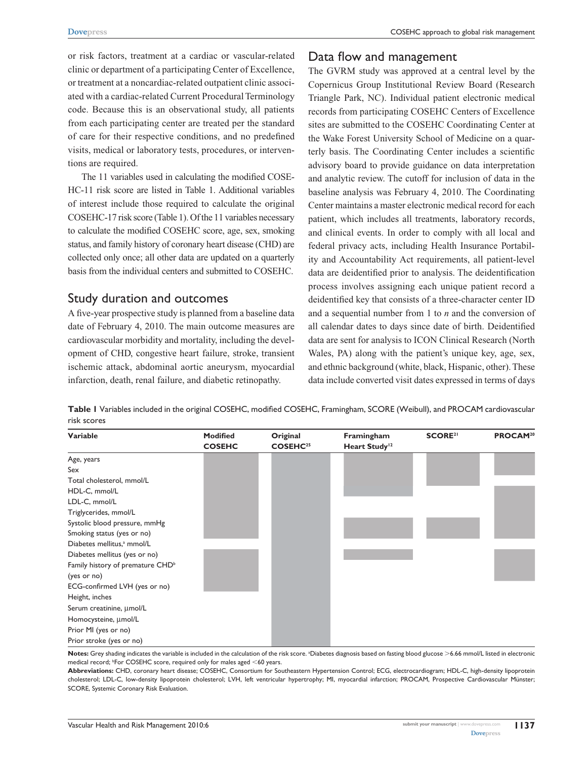or risk factors, treatment at a cardiac or vascular-related clinic or department of a participating Center of Excellence, or treatment at a noncardiac-related outpatient clinic associated with a cardiac-related Current Procedural Terminology code. Because this is an observational study, all patients from each participating center are treated per the standard of care for their respective conditions, and no predefined visits, medical or laboratory tests, procedures, or interventions are required.

The 11 variables used in calculating the modified COSE-HC-11 risk score are listed in Table 1. Additional variables of interest include those required to calculate the original COSEHC-17 risk score (Table 1). Of the 11 variables necessary to calculate the modified COSEHC score, age, sex, smoking status, and family history of coronary heart disease (CHD) are collected only once; all other data are updated on a quarterly basis from the individual centers and submitted to COSEHC.

#### Study duration and outcomes

A five-year prospective study is planned from a baseline data date of February 4, 2010. The main outcome measures are cardiovascular morbidity and mortality, including the development of CHD, congestive heart failure, stroke, transient ischemic attack, abdominal aortic aneurysm, myocardial infarction, death, renal failure, and diabetic retinopathy.

#### Data flow and management

The GVRM study was approved at a central level by the Copernicus Group Institutional Review Board (Research Triangle Park, NC). Individual patient electronic medical records from participating COSEHC Centers of Excellence sites are submitted to the COSEHC Coordinating Center at the Wake Forest University School of Medicine on a quarterly basis. The Coordinating Center includes a scientific advisory board to provide guidance on data interpretation and analytic review. The cutoff for inclusion of data in the baseline analysis was February 4, 2010. The Coordinating Center maintains a master electronic medical record for each patient, which includes all treatments, laboratory records, and clinical events. In order to comply with all local and federal privacy acts, including Health Insurance Portability and Accountability Act requirements, all patient-level data are deidentified prior to analysis. The deidentification process involves assigning each unique patient record a deidentified key that consists of a three-character center ID and a sequential number from 1 to *n* and the conversion of all calendar dates to days since date of birth. Deidentified data are sent for analysis to ICON Clinical Research (North Wales, PA) along with the patient's unique key, age, sex, and ethnic background (white, black, Hispanic, other). These data include converted visit dates expressed in terms of days

**Table 1** Variables included in the original COSEHC, modified COSEHC, Framingham, SCORE (Weibull), and PROCAM cardiovascular risk scores

| <b>Variable</b>                              | <b>Modified</b> | Original             | Framingham                | SCORE <sup>21</sup> | PROCAM <sup>20</sup> |
|----------------------------------------------|-----------------|----------------------|---------------------------|---------------------|----------------------|
|                                              | <b>COSEHC</b>   | COSEHC <sup>25</sup> | Heart Study <sup>12</sup> |                     |                      |
| Age, years                                   |                 |                      |                           |                     |                      |
| Sex                                          |                 |                      |                           |                     |                      |
| Total cholesterol, mmol/L                    |                 |                      |                           |                     |                      |
| HDL-C, mmol/L                                |                 |                      |                           |                     |                      |
| LDL-C, mmol/L                                |                 |                      |                           |                     |                      |
| Triglycerides, mmol/L                        |                 |                      |                           |                     |                      |
| Systolic blood pressure, mmHg                |                 |                      |                           |                     |                      |
| Smoking status (yes or no)                   |                 |                      |                           |                     |                      |
| Diabetes mellitus, <sup>a</sup> mmol/L       |                 |                      |                           |                     |                      |
| Diabetes mellitus (yes or no)                |                 |                      |                           |                     |                      |
| Family history of premature CHD <sup>b</sup> |                 |                      |                           |                     |                      |
| (yes or no)                                  |                 |                      |                           |                     |                      |
| ECG-confirmed LVH (yes or no)                |                 |                      |                           |                     |                      |
| Height, inches                               |                 |                      |                           |                     |                      |
| Serum creatinine, µmol/L                     |                 |                      |                           |                     |                      |
| Homocysteine, µmol/L                         |                 |                      |                           |                     |                      |
| Prior MI (yes or no)                         |                 |                      |                           |                     |                      |
| Prior stroke (yes or no)                     |                 |                      |                           |                     |                      |

Notes: Grey shading indicates the variable is included in the calculation of the risk score. <sup>a</sup>Diabetes diagnosis based on fasting blood glucose >6.66 mmol/L listed in electronic medical record;  $b$ For COSEHC score, required only for males aged  $<$  60 years.

**Abbreviations:** CHD, coronary heart disease; COSEHC, Consortium for Southeastern Hypertension Control; ECG, electrocardiogram; HDL-C, high-density lipoprotein cholesterol; LDL-C, low-density lipoprotein cholesterol; LVH, left ventricular hypertrophy; MI, myocardial infarction; PROCAM, Prospective Cardiovascular Münster; SCORE, Systemic Coronary Risk Evaluation.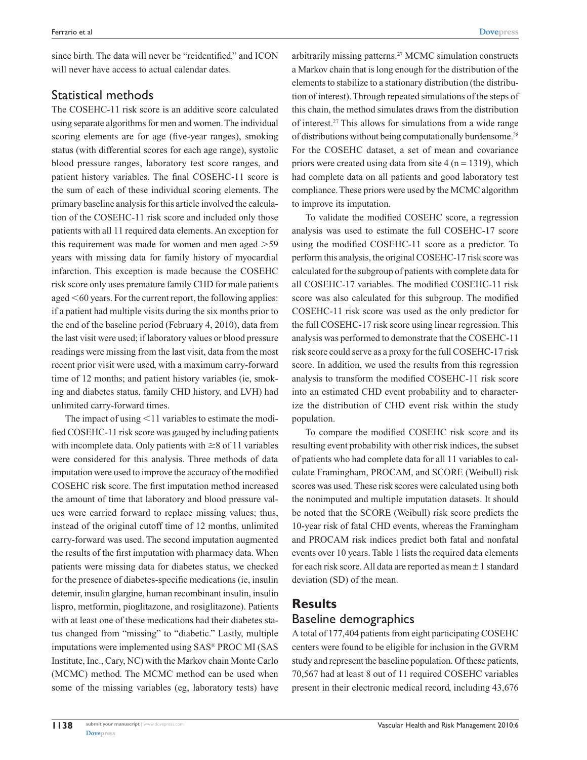since birth. The data will never be "reidentified," and ICON will never have access to actual calendar dates.

#### Statistical methods

The COSEHC-11 risk score is an additive score calculated using separate algorithms for men and women. The individual scoring elements are for age (five-year ranges), smoking status (with differential scores for each age range), systolic blood pressure ranges, laboratory test score ranges, and patient history variables. The final COSEHC-11 score is the sum of each of these individual scoring elements. The primary baseline analysis for this article involved the calculation of the COSEHC-11 risk score and included only those patients with all 11 required data elements. An exception for this requirement was made for women and men aged  $>59$ years with missing data for family history of myocardial infarction. This exception is made because the COSEHC risk score only uses premature family CHD for male patients aged  $<60$  years. For the current report, the following applies: if a patient had multiple visits during the six months prior to the end of the baseline period (February 4, 2010), data from the last visit were used; if laboratory values or blood pressure readings were missing from the last visit, data from the most recent prior visit were used, with a maximum carry-forward time of 12 months; and patient history variables (ie, smoking and diabetes status, family CHD history, and LVH) had unlimited carry-forward times.

The impact of using  $\leq$ 11 variables to estimate the modified COSEHC-11 risk score was gauged by including patients with incomplete data. Only patients with  $\geq 8$  of 11 variables were considered for this analysis. Three methods of data imputation were used to improve the accuracy of the modified COSEHC risk score. The first imputation method increased the amount of time that laboratory and blood pressure values were carried forward to replace missing values; thus, instead of the original cutoff time of 12 months, unlimited carry-forward was used. The second imputation augmented the results of the first imputation with pharmacy data. When patients were missing data for diabetes status, we checked for the presence of diabetes-specific medications (ie, insulin detemir, insulin glargine, human recombinant insulin, insulin lispro, metformin, pioglitazone, and rosiglitazone). Patients with at least one of these medications had their diabetes status changed from "missing" to "diabetic." Lastly, multiple imputations were implemented using SAS® PROC MI (SAS Institute, Inc., Cary, NC) with the Markov chain Monte Carlo (MCMC) method. The MCMC method can be used when some of the missing variables (eg, laboratory tests) have

arbitrarily missing patterns.27 MCMC simulation constructs a Markov chain that is long enough for the distribution of the elements to stabilize to a stationary distribution (the distribution of interest). Through repeated simulations of the steps of this chain, the method simulates draws from the distribution of interest.27 This allows for simulations from a wide range of distributions without being computationally burdensome.<sup>28</sup> For the COSEHC dataset, a set of mean and covariance priors were created using data from site  $4 (n = 1319)$ , which had complete data on all patients and good laboratory test compliance. These priors were used by the MCMC algorithm to improve its imputation.

To validate the modified COSEHC score, a regression analysis was used to estimate the full COSEHC-17 score using the modified COSEHC-11 score as a predictor. To perform this analysis, the original COSEHC-17 risk score was calculated for the subgroup of patients with complete data for all COSEHC-17 variables. The modified COSEHC-11 risk score was also calculated for this subgroup. The modified COSEHC-11 risk score was used as the only predictor for the full COSEHC-17 risk score using linear regression. This analysis was performed to demonstrate that the COSEHC-11 risk score could serve as a proxy for the full COSEHC-17 risk score. In addition, we used the results from this regression analysis to transform the modified COSEHC-11 risk score into an estimated CHD event probability and to characterize the distribution of CHD event risk within the study population.

To compare the modified COSEHC risk score and its resulting event probability with other risk indices, the subset of patients who had complete data for all 11 variables to calculate Framingham, PROCAM, and SCORE (Weibull) risk scores was used. These risk scores were calculated using both the nonimputed and multiple imputation datasets. It should be noted that the SCORE (Weibull) risk score predicts the 10-year risk of fatal CHD events, whereas the Framingham and PROCAM risk indices predict both fatal and nonfatal events over 10 years. Table 1 lists the required data elements for each risk score. All data are reported as mean  $\pm 1$  standard deviation (SD) of the mean.

#### **Results**

#### Baseline demographics

A total of 177,404 patients from eight participating COSEHC centers were found to be eligible for inclusion in the GVRM study and represent the baseline population. Of these patients, 70,567 had at least 8 out of 11 required COSEHC variables present in their electronic medical record, including 43,676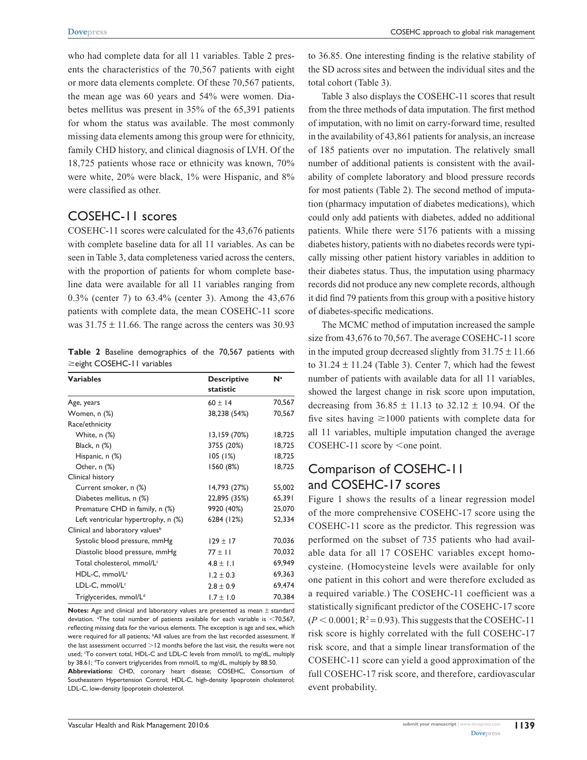who had complete data for all 11 variables. Table 2 presents the characteristics of the 70,567 patients with eight or more data elements complete. Of these 70,567 patients, the mean age was 60 years and 54% were women. Diabetes mellitus was present in 35% of the 65,391 patients for whom the status was available. The most commonly missing data elements among this group were for ethnicity, family CHD history, and clinical diagnosis of LVH. Of the 18,725 patients whose race or ethnicity was known, 70% were white, 20% were black, 1% were Hispanic, and 8% were classified as other.

## COSEHC-11 scores

COSEHC-11 scores were calculated for the 43,676 patients with complete baseline data for all 11 variables. As can be seen in Table 3, data completeness varied across the centers, with the proportion of patients for whom complete baseline data were available for all 11 variables ranging from 0.3% (center 7) to 63.4% (center 3). Among the 43,676 patients with complete data, the mean COSEHC-11 score was  $31.75 \pm 11.66$ . The range across the centers was 30.93

**Table 2** Baseline demographics of the 70,567 patients with  $\geq$ eight COSEHC-11 variables

| <b>Variables</b>                            | <b>Descriptive</b> | N <sup>a</sup> |
|---------------------------------------------|--------------------|----------------|
|                                             | statistic          |                |
| Age, years                                  | $60 \pm 14$        | 70,567         |
| Women, n (%)                                | 38,238 (54%)       | 70,567         |
| Race/ethnicity                              |                    |                |
| White, n (%)                                | 13,159 (70%)       | 18,725         |
| Black, $n$ $%$                              | 3755 (20%)         | 18,725         |
| Hispanic, n (%)                             | 105(1%)            | 18,725         |
| Other, $n$ $%$                              | 1560 (8%)          | 18,725         |
| Clinical history                            |                    |                |
| Current smoker, n (%)                       | 14,793 (27%)       | 55,002         |
| Diabetes mellitus, n (%)                    | 22,895 (35%)       | 65,391         |
| Premature CHD in family, n (%)              | 9920 (40%)         | 25,070         |
| Left ventricular hypertrophy, n (%)         | 6284 (12%)         | 52,334         |
| Clinical and laboratory values <sup>b</sup> |                    |                |
| Systolic blood pressure, mmHg               | $129 \pm 17$       | 70,036         |
| Diastolic blood pressure, mmHg              | $77 + 11$          | 70,032         |
| Total cholesterol, mmol/L <sup>c</sup>      | $4.8 \pm 1.1$      | 69,949         |
| HDL-C, mmol/L <sup>c</sup>                  | $1.2 \pm 0.3$      | 69,363         |
| LDL-C, mmol/L <sup>c</sup>                  | $2.8 \pm 0.9$      | 69,474         |
| Triglycerides, mmol/L <sup>d</sup>          | $1.7 \pm 1.0$      | 70,384         |

**Notes:** Age and clinical and laboratory values are presented as mean ± standard deviation. <sup>a</sup>The total number of patients available for each variable is  $\leq 70,567$ , reflecting missing data for the various elements. The exception is age and sex, which were required for all patients; <sup>b</sup>All values are from the last recorded assessment. If the last assessment occurred  $>$  12 months before the last visit, the results were not used; 'To convert total, HDL-C and LDL-C levels from mmol/L to mg/dL, multiply by 38.61; <sup>d</sup>To convert triglycerides from mmol/L to mg/dL, multiply by 88.50.

**Abbreviations:** CHD, coronary heart disease; COSEHC, Consortium of Southeastern Hypertension Control; HDL-C, high-density lipoprotein cholesterol; LDL-C, low-density lipoprotein cholesterol.

to 36.85. One interesting finding is the relative stability of the SD across sites and between the individual sites and the total cohort (Table 3).

Table 3 also displays the COSEHC-11 scores that result from the three methods of data imputation. The first method of imputation, with no limit on carry-forward time, resulted in the availability of 43,861 patients for analysis, an increase of 185 patients over no imputation. The relatively small number of additional patients is consistent with the availability of complete laboratory and blood pressure records for most patients (Table 2). The second method of imputation (pharmacy imputation of diabetes medications), which could only add patients with diabetes, added no additional patients. While there were 5176 patients with a missing diabetes history, patients with no diabetes records were typically missing other patient history variables in addition to their diabetes status. Thus, the imputation using pharmacy records did not produce any new complete records, although it did find 79 patients from this group with a positive history of diabetes-specific medications.

The MCMC method of imputation increased the sample size from 43,676 to 70,567. The average COSEHC-11 score in the imputed group decreased slightly from  $31.75 \pm 11.66$ to  $31.24 \pm 11.24$  (Table 3). Center 7, which had the fewest number of patients with available data for all 11 variables, showed the largest change in risk score upon imputation, decreasing from  $36.85 \pm 11.13$  to  $32.12 \pm 10.94$ . Of the five sites having  $\geq 1000$  patients with complete data for all 11 variables, multiple imputation changed the average  $\text{COSEHC-11 score by} \leq \text{one point}.$ 

# Comparison of COSEHC-11 and COSEHC-17 scores

Figure 1 shows the results of a linear regression model of the more comprehensive COSEHC-17 score using the COSEHC-11 score as the predictor. This regression was performed on the subset of 735 patients who had available data for all 17 COSEHC variables except homocysteine. (Homocysteine levels were available for only one patient in this cohort and were therefore excluded as a required variable.) The COSEHC-11 coefficient was a statistically significant predictor of the COSEHC-17 score  $(P < 0.0001; R<sup>2</sup> = 0.93)$ . This suggests that the COSEHC-11 risk score is highly correlated with the full COSEHC-17 risk score, and that a simple linear transformation of the COSEHC-11 score can yield a good approximation of the full COSEHC-17 risk score, and therefore, cardiovascular event probability.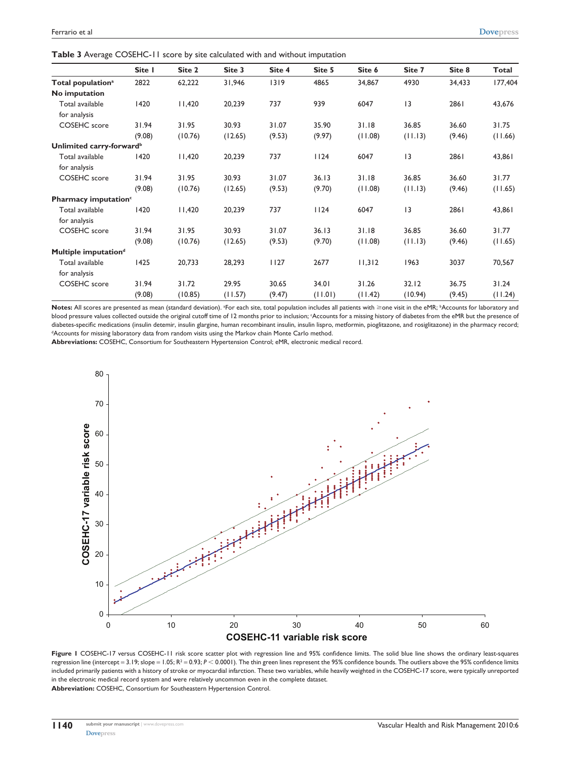|                                      | Site I | Site 2  | Site 3  | Site 4 | Site 5  | Site 6  | Site 7  | Site 8 | Total   |
|--------------------------------------|--------|---------|---------|--------|---------|---------|---------|--------|---------|
| Total population <sup>a</sup>        | 2822   | 62,222  | 31,946  | 1319   | 4865    | 34,867  | 4930    | 34,433 | 177,404 |
| No imputation                        |        |         |         |        |         |         |         |        |         |
| Total available                      | 1420   | 11,420  | 20,239  | 737    | 939     | 6047    | 13      | 2861   | 43,676  |
| for analysis                         |        |         |         |        |         |         |         |        |         |
| COSEHC score                         | 31.94  | 31.95   | 30.93   | 31.07  | 35.90   | 31.18   | 36.85   | 36.60  | 31.75   |
|                                      | (9.08) | (10.76) | (12.65) | (9.53) | (9.97)  | (11.08) | (11.13) | (9.46) | (11.66) |
| Unlimited carry-forward <sup>b</sup> |        |         |         |        |         |         |         |        |         |
| Total available                      | 1420   | 11,420  | 20,239  | 737    | 1124    | 6047    | 13      | 2861   | 43,861  |
| for analysis                         |        |         |         |        |         |         |         |        |         |
| COSEHC score                         | 31.94  | 31.95   | 30.93   | 31.07  | 36.13   | 31.18   | 36.85   | 36.60  | 31.77   |
|                                      | (9.08) | (10.76) | (12.65) | (9.53) | (9.70)  | (11.08) | (11.13) | (9.46) | (11.65) |
| Pharmacy imputation <sup>c</sup>     |        |         |         |        |         |         |         |        |         |
| Total available                      | 1420   | 11,420  | 20,239  | 737    | 1124    | 6047    | 13      | 2861   | 43,861  |
| for analysis                         |        |         |         |        |         |         |         |        |         |
| COSEHC score                         | 31.94  | 31.95   | 30.93   | 31.07  | 36.13   | 31.18   | 36.85   | 36.60  | 31.77   |
|                                      | (9.08) | (10.76) | (12.65) | (9.53) | (9.70)  | (11.08) | (11.13) | (9.46) | (11.65) |
| Multiple imputation <sup>d</sup>     |        |         |         |        |         |         |         |        |         |
| Total available                      | 1425   | 20,733  | 28,293  | 1127   | 2677    | 11,312  | 1963    | 3037   | 70,567  |
| for analysis                         |        |         |         |        |         |         |         |        |         |
| COSEHC score                         | 31.94  | 31.72   | 29.95   | 30.65  | 34.01   | 31.26   | 32.12   | 36.75  | 31.24   |
|                                      | (9.08) | (10.85) | (11.57) | (9.47) | (11.01) | (11.42) | (10.94) | (9.45) | (11.24) |

Notes: All scores are presented as mean (standard deviation). <sup>a</sup>For each site, total population includes all patients with ≥one visit in the eMR; <sup>b</sup>Accounts for laboratory and blood pressure values collected outside the original cutoff time of 12 months prior to inclusion; 'Accounts for a missing history of diabetes from the eMR but the presence of diabetes-specific medications (insulin detemir, insulin glargine, human recombinant insulin, insulin lispro, metformin, pioglitazone, and rosiglitazone) in the pharmacy record; d Accounts for missing laboratory data from random visits using the Markov chain Monte Carlo method.

**Abbreviations:** COSEHC, Consortium for Southeastern Hypertension Control; eMR, electronic medical record.



Figure I COSEHC-17 versus COSEHC-11 risk score scatter plot with regression line and 95% confidence limits. The solid blue line shows the ordinary least-squares regression line (intercept = 3.19; slope = 1.05;  $R^2 = 0.93$ ;  $P < 0.0001$ ). The thin green lines represent the 95% confidence bounds. The outliers above the 95% confidence limits included primarily patients with a history of stroke or myocardial infarction. These two variables, while heavily weighted in the COSEHC-17 score, were typically unreported in the electronic medical record system and were relatively uncommon even in the complete dataset. **Abbreviation:** COSEHC, Consortium for Southeastern Hypertension Control.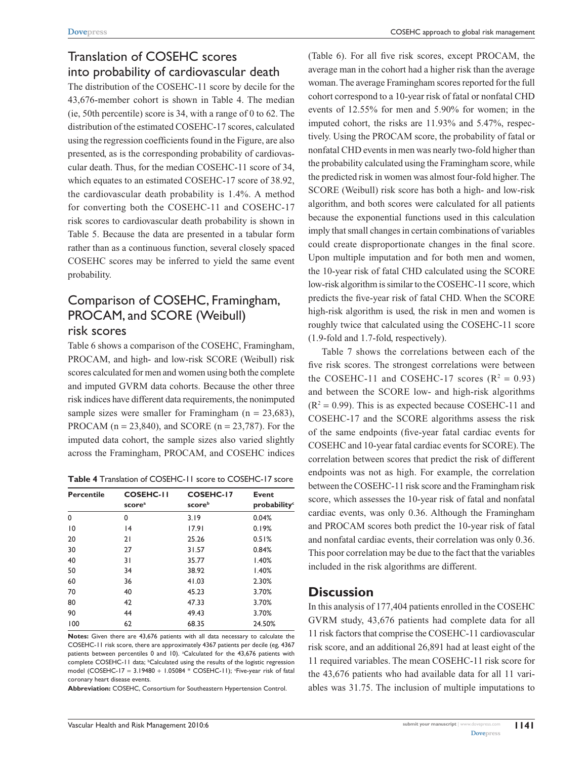# Translation of COSEHC scores into probability of cardiovascular death

The distribution of the COSEHC-11 score by decile for the 43,676-member cohort is shown in Table 4. The median (ie, 50th percentile) score is 34, with a range of 0 to 62. The distribution of the estimated COSEHC-17 scores, calculated using the regression coefficients found in the Figure, are also presented, as is the corresponding probability of cardiovascular death. Thus, for the median COSEHC-11 score of 34, which equates to an estimated COSEHC-17 score of 38.92, the cardiovascular death probability is 1.4%. A method for converting both the COSEHC-11 and COSEHC-17 risk scores to cardiovascular death probability is shown in Table 5. Because the data are presented in a tabular form rather than as a continuous function, several closely spaced COSEHC scores may be inferred to yield the same event probability.

### Comparison of COSEHC, Framingham, PROCAM, and SCORE (Weibull) risk scores

Table 6 shows a comparison of the COSEHC, Framingham, PROCAM, and high- and low-risk SCORE (Weibull) risk scores calculated for men and women using both the complete and imputed GVRM data cohorts. Because the other three risk indices have different data requirements, the nonimputed sample sizes were smaller for Framingham  $(n = 23,683)$ , PROCAM ( $n = 23,840$ ), and SCORE ( $n = 23,787$ ). For the imputed data cohort, the sample sizes also varied slightly across the Framingham, PROCAM, and COSEHC indices

| <b>Table 4</b> Translation of COSEHC-11 score to COSEHC-17 score |  |
|------------------------------------------------------------------|--|
|------------------------------------------------------------------|--|

| <b>Percentile</b> | <b>COSEHC-II</b>   | <b>COSEHC-17</b> | Event                    |
|-------------------|--------------------|------------------|--------------------------|
|                   | score <sup>a</sup> | scoreb           | probability <sup>c</sup> |
| 0                 | 0                  | 3.19             | 0.04%                    |
| $\overline{10}$   | 4                  | 17.91            | 0.19%                    |
| 20                | 21                 | 25.26            | 0.51%                    |
| 30                | 27                 | 31.57            | 0.84%                    |
| 40                | 31                 | 35.77            | 1.40%                    |
| 50                | 34                 | 38.92            | 1.40%                    |
| 60                | 36                 | 41.03            | 2.30%                    |
| 70                | 40                 | 45.23            | 3.70%                    |
| 80                | 42                 | 47.33            | 3.70%                    |
| 90                | 44                 | 49.43            | 3.70%                    |
| 100               | 62                 | 68.35            | 24.50%                   |

**Notes:** Given there are 43,676 patients with all data necessary to calculate the COSEHC-11 risk score, there are approximately 4367 patients per decile (eg, 4367 patients between percentiles 0 and 10). <sup>a</sup>Calculated for the 43,676 patients with complete COSEHC-11 data; <sup>b</sup>Calculated using the results of the logistic regression model (COSEHC-17 = 3.19480 + 1.05084 \* COSEHC-11); 'Five-year risk of fatal coronary heart disease events.

**Abbreviation:** COSEHC, Consortium for Southeastern Hypertension Control.

(Table 6). For all five risk scores, except PROCAM, the average man in the cohort had a higher risk than the average woman. The average Framingham scores reported for the full cohort correspond to a 10-year risk of fatal or nonfatal CHD events of 12.55% for men and 5.90% for women; in the imputed cohort, the risks are 11.93% and 5.47%, respectively. Using the PROCAM score, the probability of fatal or nonfatal CHD events in men was nearly two-fold higher than the probability calculated using the Framingham score, while the predicted risk in women was almost four-fold higher. The SCORE (Weibull) risk score has both a high- and low-risk algorithm, and both scores were calculated for all patients because the exponential functions used in this calculation imply that small changes in certain combinations of variables could create disproportionate changes in the final score. Upon multiple imputation and for both men and women, the 10-year risk of fatal CHD calculated using the SCORE low-risk algorithm is similar to the COSEHC-11 score, which predicts the five-year risk of fatal CHD. When the SCORE high-risk algorithm is used, the risk in men and women is roughly twice that calculated using the COSEHC-11 score (1.9-fold and 1.7-fold, respectively).

Table 7 shows the correlations between each of the five risk scores. The strongest correlations were between the COSEHC-11 and COSEHC-17 scores  $(R^2 = 0.93)$ and between the SCORE low- and high-risk algorithms  $(R<sup>2</sup> = 0.99)$ . This is as expected because COSEHC-11 and COSEHC-17 and the SCORE algorithms assess the risk of the same endpoints (five-year fatal cardiac events for COSEHC and 10-year fatal cardiac events for SCORE). The correlation between scores that predict the risk of different endpoints was not as high. For example, the correlation between the COSEHC-11 risk score and the Framingham risk score, which assesses the 10-year risk of fatal and nonfatal cardiac events, was only 0.36. Although the Framingham and PROCAM scores both predict the 10-year risk of fatal and nonfatal cardiac events, their correlation was only 0.36. This poor correlation may be due to the fact that the variables included in the risk algorithms are different.

# **Discussion**

In this analysis of 177,404 patients enrolled in the COSEHC GVRM study, 43,676 patients had complete data for all 11 risk factors that comprise the COSEHC-11 cardiovascular risk score, and an additional 26,891 had at least eight of the 11 required variables. The mean COSEHC-11 risk score for the 43,676 patients who had available data for all 11 variables was 31.75. The inclusion of multiple imputations to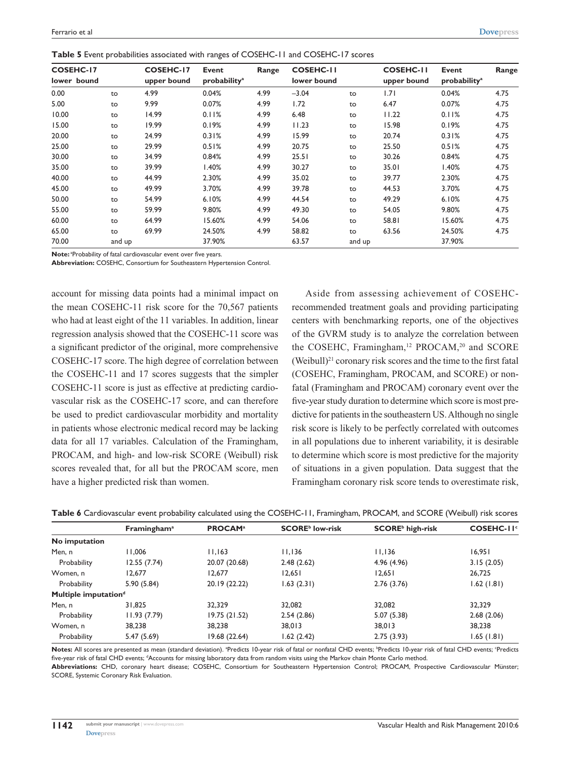| Table 5 Event probabilities associated with ranges of COSEHC-11 and COSEHC-17 scores |  |
|--------------------------------------------------------------------------------------|--|
|--------------------------------------------------------------------------------------|--|

| <b>COSEHC-17</b> |        | <b>COSEHC-17</b> | Event                    | Range | <b>COSEHC-II</b> |        | <b>COSEHC-II</b> | Event                    | Range |
|------------------|--------|------------------|--------------------------|-------|------------------|--------|------------------|--------------------------|-------|
| lower bound      |        | upper bound      | probability <sup>a</sup> |       | lower bound      |        | upper bound      | probability <sup>a</sup> |       |
| 0.00             | to     | 4.99             | 0.04%                    | 4.99  | $-3.04$          | to     | 1.71             | 0.04%                    | 4.75  |
| 5.00             | to     | 9.99             | 0.07%                    | 4.99  | 1.72             | to     | 6.47             | 0.07%                    | 4.75  |
| 10.00            | to     | 14.99            | 0.11%                    | 4.99  | 6.48             | to     | 11.22            | 0.11%                    | 4.75  |
| 15.00            | to     | 19.99            | 0.19%                    | 4.99  | 11.23            | to     | 15.98            | 0.19%                    | 4.75  |
| 20.00            | to     | 24.99            | 0.31%                    | 4.99  | 15.99            | to     | 20.74            | 0.31%                    | 4.75  |
| 25.00            | to     | 29.99            | 0.51%                    | 4.99  | 20.75            | to     | 25.50            | 0.51%                    | 4.75  |
| 30.00            | to     | 34.99            | 0.84%                    | 4.99  | 25.51            | to     | 30.26            | 0.84%                    | 4.75  |
| 35.00            | to     | 39.99            | 1.40%                    | 4.99  | 30.27            | to     | 35.01            | 1.40%                    | 4.75  |
| 40.00            | to     | 44.99            | 2.30%                    | 4.99  | 35.02            | to     | 39.77            | 2.30%                    | 4.75  |
| 45.00            | to     | 49.99            | 3.70%                    | 4.99  | 39.78            | to     | 44.53            | 3.70%                    | 4.75  |
| 50.00            | to     | 54.99            | 6.10%                    | 4.99  | 44.54            | to     | 49.29            | 6.10%                    | 4.75  |
| 55.00            | to     | 59.99            | 9.80%                    | 4.99  | 49.30            | to     | 54.05            | 9.80%                    | 4.75  |
| 60.00            | to     | 64.99            | 15.60%                   | 4.99  | 54.06            | to     | 58.81            | 15.60%                   | 4.75  |
| 65.00            | to     | 69.99            | 24.50%                   | 4.99  | 58.82            | to     | 63.56            | 24.50%                   | 4.75  |
| 70.00            | and up |                  | 37.90%                   |       | 63.57            | and up |                  | 37.90%                   |       |

**Note:**<sup>a</sup>Probability of fatal cardiovascular event over five years.

**Abbreviation:** COSEHC, Consortium for Southeastern Hypertension Control.

account for missing data points had a minimal impact on the mean COSEHC-11 risk score for the 70,567 patients who had at least eight of the 11 variables. In addition, linear regression analysis showed that the COSEHC-11 score was a significant predictor of the original, more comprehensive COSEHC-17 score. The high degree of correlation between the COSEHC-11 and 17 scores suggests that the simpler COSEHC-11 score is just as effective at predicting cardiovascular risk as the COSEHC-17 score, and can therefore be used to predict cardiovascular morbidity and mortality in patients whose electronic medical record may be lacking data for all 17 variables. Calculation of the Framingham, PROCAM, and high- and low-risk SCORE (Weibull) risk scores revealed that, for all but the PROCAM score, men have a higher predicted risk than women.

Aside from assessing achievement of COSEHCrecommended treatment goals and providing participating centers with benchmarking reports, one of the objectives of the GVRM study is to analyze the correlation between the COSEHC, Framingham,<sup>12</sup> PROCAM,<sup>20</sup> and SCORE  $(Weibull)<sup>21</sup> coronary risk scores and the time to the first fatal$ (COSEHC, Framingham, PROCAM, and SCORE) or nonfatal (Framingham and PROCAM) coronary event over the five-year study duration to determine which score is most predictive for patients in the southeastern US. Although no single risk score is likely to be perfectly correlated with outcomes in all populations due to inherent variability, it is desirable to determine which score is most predictive for the majority of situations in a given population. Data suggest that the Framingham coronary risk score tends to overestimate risk,

|  |  |  | Table 6 Cardiovascular event probability calculated using the COSEHC-11, Framingham, PROCAM, and SCORE (Weibull) risk scores |  |  |  |
|--|--|--|------------------------------------------------------------------------------------------------------------------------------|--|--|--|
|--|--|--|------------------------------------------------------------------------------------------------------------------------------|--|--|--|

|                                  | Framingham <sup>a</sup> | <b>PROCAM</b> <sup>a</sup> | <b>SCORE</b> <sup>b</sup> low-risk | SCORE <sup>b</sup> high-risk | <b>COSEHC-II<sup>c</sup></b> |
|----------------------------------|-------------------------|----------------------------|------------------------------------|------------------------------|------------------------------|
| No imputation                    |                         |                            |                                    |                              |                              |
| Men, n                           | 11.006                  | 11.163                     | 11,136                             | 11,136                       | 16,951                       |
| Probability                      | 12.55(7.74)             | 20.07 (20.68)              | 2.48(2.62)                         | 4.96 (4.96)                  | 3.15(2.05)                   |
| Women, n                         | 12.677                  | 12,677                     | 12.651                             | 12.651                       | 26,725                       |
| Probability                      | 5.90(5.84)              | 20.19 (22.22)              | 1.63(2.31)                         | 2.76(3.76)                   | 1.62(1.81)                   |
| Multiple imputation <sup>d</sup> |                         |                            |                                    |                              |                              |
| Men, n                           | 31,825                  | 32.329                     | 32,082                             | 32,082                       | 32,329                       |
| Probability                      | 11.93(7.79)             | 19.75(21.52)               | 2.54(2.86)                         | 5.07(5.38)                   | 2.68(2.06)                   |
| Women, n                         | 38,238                  | 38,238                     | 38,013                             | 38,013                       | 38,238                       |
| Probability                      | 5.47(5.69)              | 19.68 (22.64)              | 1.62(2.42)                         | 2.75(3.93)                   | 1.65(1.81)                   |

Notes: All scores are presented as mean (standard deviation). <sup>a</sup>Predicts 10-year risk of fatal or nonfatal CHD events; <sup>b</sup>Predicts 10-year risk of fatal CHD events; <sup>c</sup>Predicts five-year risk of fatal CHD events; <sup>a</sup>Accounts for missing laboratory data from random visits using the Markov chain Monte Carlo method. **Abbreviations:** CHD, coronary heart disease; COSEHC, Consortium for Southeastern Hypertension Control; PROCAM, Prospective Cardiovascular Münster;

SCORE, Systemic Coronary Risk Evaluation.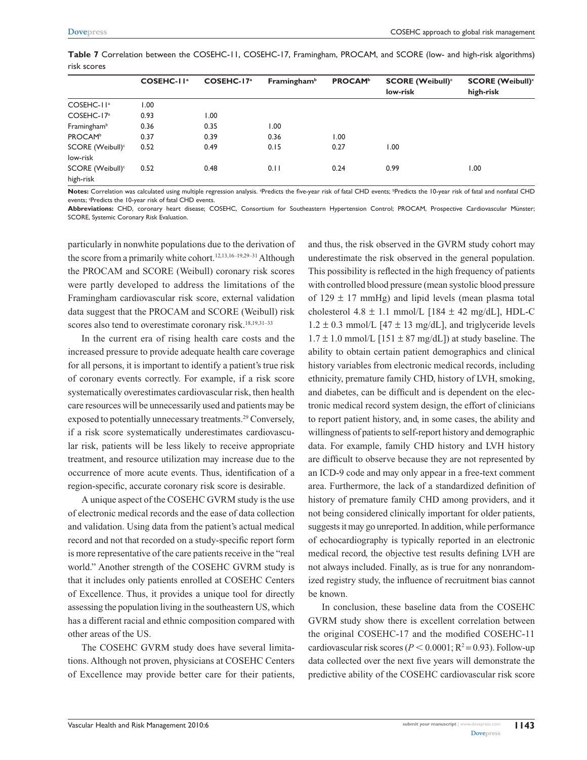|                              | <b>COSEHC-II<sup>a</sup></b> | COSEHC-17 <sup>a</sup> | Framingham <sup>b</sup> | <b>PROCAM</b> b | <b>SCORE (Weibull)<sup>c</sup></b><br>low-risk | <b>SCORE (Weibull)</b><br>high-risk |
|------------------------------|------------------------------|------------------------|-------------------------|-----------------|------------------------------------------------|-------------------------------------|
| COSEHC-II <sup>a</sup>       | 1.00                         |                        |                         |                 |                                                |                                     |
| COSEHC-17 <sup>a</sup>       | 0.93                         | 1.00                   |                         |                 |                                                |                                     |
| Framingham <sup>b</sup>      | 0.36                         | 0.35                   | 1.00                    |                 |                                                |                                     |
| <b>PROCAM</b> <sup>b</sup>   | 0.37                         | 0.39                   | 0.36                    | 00.1            |                                                |                                     |
| SCORE (Weibull) <sup>c</sup> | 0.52                         | 0.49                   | 0.15                    | 0.27            | 1.00                                           |                                     |
| low-risk                     |                              |                        |                         |                 |                                                |                                     |
| SCORE (Weibull) <sup>c</sup> | 0.52                         | 0.48                   | 0.11                    | 0.24            | 0.99                                           | 00. ا                               |
| high-risk                    |                              |                        |                         |                 |                                                |                                     |

**Table 7** Correlation between the COSEHC-11, COSEHC-17, Framingham, PROCAM, and SCORE (low- and high-risk algorithms) risk scores

Notes: Correlation was calculated using multiple regression analysis. <sup>a</sup>Predicts the five-year risk of fatal CHD events; <sup>b</sup>Predicts the 10-year risk of fatal and nonfatal CHD events; <sup>c</sup>Predicts the 10-year risk of fatal CHD events.

**Abbreviations:** CHD, coronary heart disease; COSEHC, Consortium for Southeastern Hypertension Control; PROCAM, Prospective Cardiovascular Münster; SCORE, Systemic Coronary Risk Evaluation.

particularly in nonwhite populations due to the derivation of the score from a primarily white cohort.12,13,16–19,29–31 Although the PROCAM and SCORE (Weibull) coronary risk scores were partly developed to address the limitations of the Framingham cardiovascular risk score, external validation data suggest that the PROCAM and SCORE (Weibull) risk scores also tend to overestimate coronary risk.<sup>18,19,31-33</sup>

In the current era of rising health care costs and the increased pressure to provide adequate health care coverage for all persons, it is important to identify a patient's true risk of coronary events correctly. For example, if a risk score systematically overestimates cardiovascular risk, then health care resources will be unnecessarily used and patients may be exposed to potentially unnecessary treatments.29 Conversely, if a risk score systematically underestimates cardiovascular risk, patients will be less likely to receive appropriate treatment, and resource utilization may increase due to the occurrence of more acute events. Thus, identification of a region-specific, accurate coronary risk score is desirable.

A unique aspect of the COSEHC GVRM study is the use of electronic medical records and the ease of data collection and validation. Using data from the patient's actual medical record and not that recorded on a study-specific report form is more representative of the care patients receive in the "real world." Another strength of the COSEHC GVRM study is that it includes only patients enrolled at COSEHC Centers of Excellence. Thus, it provides a unique tool for directly assessing the population living in the southeastern US, which has a different racial and ethnic composition compared with other areas of the US.

The COSEHC GVRM study does have several limitations. Although not proven, physicians at COSEHC Centers of Excellence may provide better care for their patients, and thus, the risk observed in the GVRM study cohort may underestimate the risk observed in the general population. This possibility is reflected in the high frequency of patients with controlled blood pressure (mean systolic blood pressure of  $129 \pm 17$  mmHg) and lipid levels (mean plasma total cholesterol  $4.8 \pm 1.1$  mmol/L  $[184 \pm 42$  mg/dL], HDL-C  $1.2 \pm 0.3$  mmol/L [47  $\pm$  13 mg/dL], and triglyceride levels  $1.7 \pm 1.0$  mmol/L [151  $\pm$  87 mg/dL]) at study baseline. The ability to obtain certain patient demographics and clinical history variables from electronic medical records, including ethnicity, premature family CHD, history of LVH, smoking, and diabetes, can be difficult and is dependent on the electronic medical record system design, the effort of clinicians to report patient history, and, in some cases, the ability and willingness of patients to self-report history and demographic data. For example, family CHD history and LVH history are difficult to observe because they are not represented by an ICD-9 code and may only appear in a free-text comment area. Furthermore, the lack of a standardized definition of history of premature family CHD among providers, and it not being considered clinically important for older patients, suggests it may go unreported. In addition, while performance of echocardiography is typically reported in an electronic medical record, the objective test results defining LVH are not always included. Finally, as is true for any nonrandomized registry study, the influence of recruitment bias cannot be known.

In conclusion, these baseline data from the COSEHC GVRM study show there is excellent correlation between the original COSEHC-17 and the modified COSEHC-11 cardiovascular risk scores ( $P < 0.0001$ ; R<sup>2</sup> = 0.93). Follow-up data collected over the next five years will demonstrate the predictive ability of the COSEHC cardiovascular risk score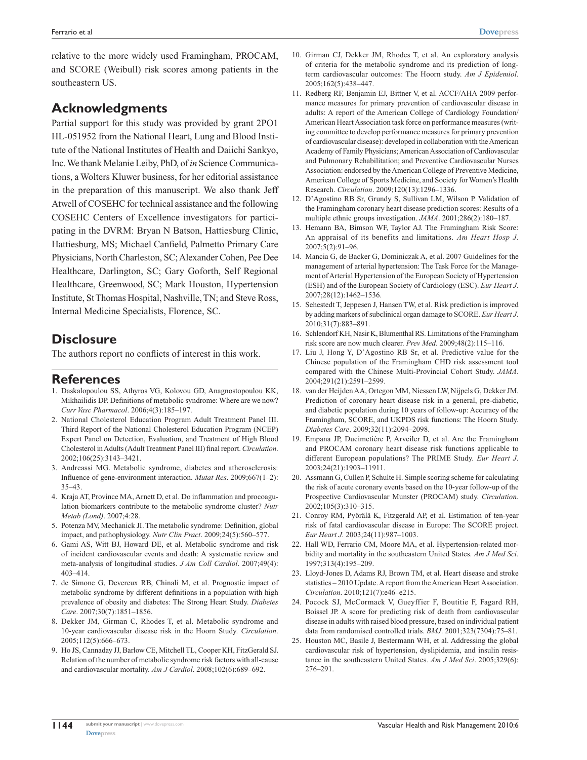relative to the more widely used Framingham, PROCAM, and SCORE (Weibull) risk scores among patients in the southeastern US.

# **Acknowledgments**

Partial support for this study was provided by grant 2PO1 HL-051952 from the National Heart, Lung and Blood Institute of the National Institutes of Health and Daiichi Sankyo, Inc. We thank Melanie Leiby, PhD, of *in* Science Communications, a Wolters Kluwer business, for her editorial assistance in the preparation of this manuscript. We also thank Jeff Atwell of COSEHC for technical assistance and the following COSEHC Centers of Excellence investigators for participating in the DVRM: Bryan N Batson, Hattiesburg Clinic, Hattiesburg, MS; Michael Canfield, Palmetto Primary Care Physicians, North Charleston, SC; Alexander Cohen, Pee Dee Healthcare, Darlington, SC; Gary Goforth, Self Regional Healthcare, Greenwood, SC; Mark Houston, Hypertension Institute, St Thomas Hospital, Nashville, TN; and Steve Ross, Internal Medicine Specialists, Florence, SC.

# **Disclosure**

The authors report no conflicts of interest in this work.

#### **References**

- 1. Daskalopoulou SS, Athyros VG, Kolovou GD, Anagnostopoulou KK, Mikhailidis DP. Definitions of metabolic syndrome: Where are we now? *Curr Vasc Pharmacol*. 2006;4(3):185–197.
- 2. National Cholesterol Education Program Adult Treatment Panel III. Third Report of the National Cholesterol Education Program (NCEP) Expert Panel on Detection, Evaluation, and Treatment of High Blood Cholesterol in Adults (Adult Treatment Panel III) final report. *Circulation*. 2002;106(25):3143–3421.
- 3. Andreassi MG. Metabolic syndrome, diabetes and atherosclerosis: Influence of gene-environment interaction. *Mutat Res*. 2009;667(1–2): 35–43.
- 4. Kraja AT, Province MA, Arnett D, et al. Do inflammation and procoagulation biomarkers contribute to the metabolic syndrome cluster? *Nutr Metab (Lond)*. 2007;4:28.
- 5. Potenza MV, Mechanick JI. The metabolic syndrome: Definition, global impact, and pathophysiology. *Nutr Clin Pract*. 2009;24(5):560–577.
- 6. Gami AS, Witt BJ, Howard DE, et al. Metabolic syndrome and risk of incident cardiovascular events and death: A systematic review and meta-analysis of longitudinal studies. *J Am Coll Cardiol*. 2007;49(4): 403–414.
- 7. de Simone G, Devereux RB, Chinali M, et al. Prognostic impact of metabolic syndrome by different definitions in a population with high prevalence of obesity and diabetes: The Strong Heart Study. *Diabetes Care*. 2007;30(7):1851–1856.
- 8. Dekker JM, Girman C, Rhodes T, et al. Metabolic syndrome and 10-year cardiovascular disease risk in the Hoorn Study. *Circulation*. 2005;112(5):666–673.
- 9. Ho JS, Cannaday JJ, Barlow CE, Mitchell TL, Cooper KH, FitzGerald SJ. Relation of the number of metabolic syndrome risk factors with all-cause and cardiovascular mortality. *Am J Cardiol*. 2008;102(6):689–692.
- 10. Girman CJ, Dekker JM, Rhodes T, et al. An exploratory analysis of criteria for the metabolic syndrome and its prediction of longterm cardiovascular outcomes: The Hoorn study. *Am J Epidemiol*. 2005;162(5):438–447.
- 11. Redberg RF, Benjamin EJ, Bittner V, et al. ACCF/AHA 2009 performance measures for primary prevention of cardiovascular disease in adults: A report of the American College of Cardiology Foundation/ American Heart Association task force on performance measures (writing committee to develop performance measures for primary prevention of cardiovascular disease): developed in collaboration with the American Academy of Family Physicians; American Association of Cardiovascular and Pulmonary Rehabilitation; and Preventive Cardiovascular Nurses Association: endorsed by the American College of Preventive Medicine, American College of Sports Medicine, and Society for Women's Health Research. *Circulation*. 2009;120(13):1296–1336.
- 12. D'Agostino RB Sr, Grundy S, Sullivan LM, Wilson P. Validation of the Framingham coronary heart disease prediction scores: Results of a multiple ethnic groups investigation. *JAMA*. 2001;286(2):180–187.
- 13. Hemann BA, Bimson WF, Taylor AJ. The Framingham Risk Score: An appraisal of its benefits and limitations. *Am Heart Hosp J*. 2007;5(2):91–96.
- 14. Mancia G, de Backer G, Dominiczak A, et al. 2007 Guidelines for the management of arterial hypertension: The Task Force for the Management of Arterial Hypertension of the European Society of Hypertension (ESH) and of the European Society of Cardiology (ESC). *Eur Heart J*. 2007;28(12):1462–1536.
- 15. Sehestedt T, Jeppesen J, Hansen TW, et al. Risk prediction is improved by adding markers of subclinical organ damage to SCORE. *Eur Heart J*. 2010;31(7):883–891.
- 16. Schlendorf KH, Nasir K, Blumenthal RS. Limitations of the Framingham risk score are now much clearer. *Prev Med*. 2009;48(2):115–116.
- 17. Liu J, Hong Y, D'Agostino RB Sr, et al. Predictive value for the Chinese population of the Framingham CHD risk assessment tool compared with the Chinese Multi-Provincial Cohort Study. *JAMA*. 2004;291(21):2591–2599.
- 18. van der Heijden AA, Ortegon MM, Niessen LW, Nijpels G, Dekker JM. Prediction of coronary heart disease risk in a general, pre-diabetic, and diabetic population during 10 years of follow-up: Accuracy of the Framingham, SCORE, and UKPDS risk functions: The Hoorn Study. *Diabetes Care*. 2009;32(11):2094–2098.
- 19. Empana JP, Ducimetière P, Arveiler D, et al. Are the Framingham and PROCAM coronary heart disease risk functions applicable to different European populations? The PRIME Study. *Eur Heart J*. 2003;24(21):1903–11911.
- 20. Assmann G, Cullen P, Schulte H. Simple scoring scheme for calculating the risk of acute coronary events based on the 10-year follow-up of the Prospective Cardiovascular Munster (PROCAM) study. *Circulation*. 2002;105(3):310–315.
- 21. Conroy RM, Pyörälä K, Fitzgerald AP, et al. Estimation of ten-year risk of fatal cardiovascular disease in Europe: The SCORE project. *Eur Heart J*. 2003;24(11):987–1003.
- 22. Hall WD, Ferrario CM, Moore MA, et al. Hypertension-related morbidity and mortality in the southeastern United States. *Am J Med Sci*. 1997;313(4):195–209.
- 23. Lloyd-Jones D, Adams RJ, Brown TM, et al. Heart disease and stroke statistics – 2010 Update. A report from the American Heart Association. *Circulation*. 2010;121(7):e46–e215.
- 24. Pocock SJ, McCormack V, Gueyffier F, Boutitie F, Fagard RH, Boissel JP. A score for predicting risk of death from cardiovascular disease in adults with raised blood pressure, based on individual patient data from randomised controlled trials. *BMJ*. 2001;323(7304):75–81.
- 25. Houston MC, Basile J, Bestermann WH, et al. Addressing the global cardiovascular risk of hypertension, dyslipidemia, and insulin resistance in the southeastern United States. *Am J Med Sci*. 2005;329(6): 276–291.